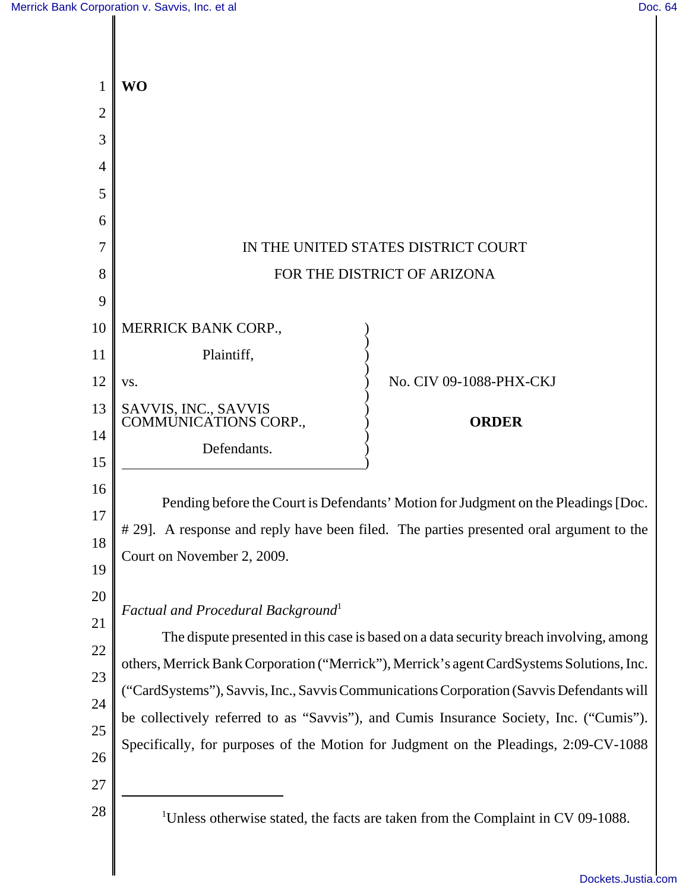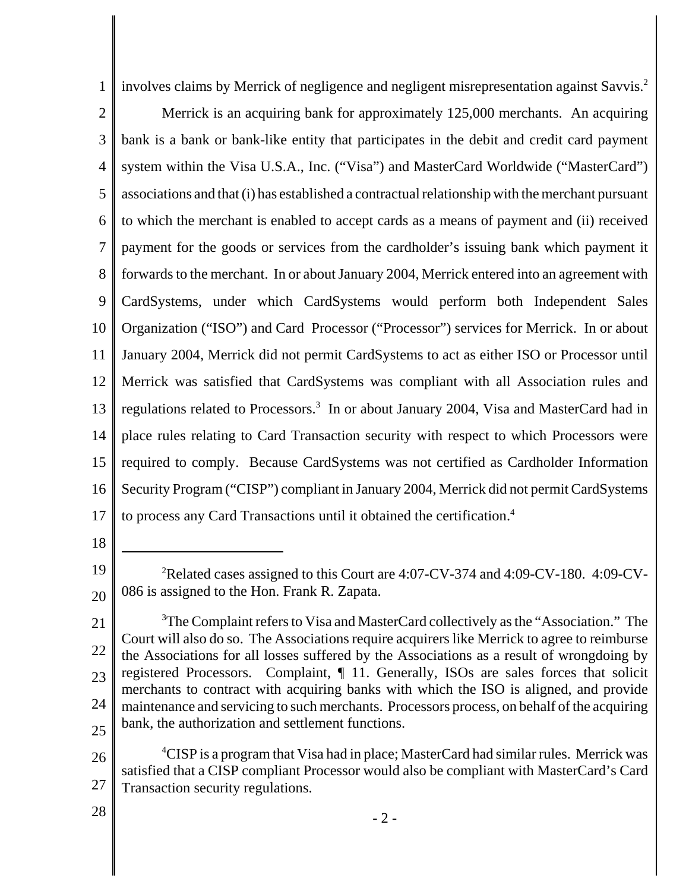1 involves claims by Merrick of negligence and negligent misrepresentation against Savvis.2

- 2 3 4 5 6 7 8 9 10 11 12 13 14 15 16 17 Merrick is an acquiring bank for approximately 125,000 merchants. An acquiring bank is a bank or bank-like entity that participates in the debit and credit card payment system within the Visa U.S.A., Inc. ("Visa") and MasterCard Worldwide ("MasterCard") associations and that (i) has established a contractual relationship with the merchant pursuant to which the merchant is enabled to accept cards as a means of payment and (ii) received payment for the goods or services from the cardholder's issuing bank which payment it forwards to the merchant. In or about January 2004, Merrick entered into an agreement with CardSystems, under which CardSystems would perform both Independent Sales Organization ("ISO") and Card Processor ("Processor") services for Merrick. In or about January 2004, Merrick did not permit CardSystems to act as either ISO or Processor until Merrick was satisfied that CardSystems was compliant with all Association rules and regulations related to Processors.<sup>3</sup> In or about January 2004, Visa and MasterCard had in place rules relating to Card Transaction security with respect to which Processors were required to comply. Because CardSystems was not certified as Cardholder Information Security Program ("CISP") compliant in January 2004, Merrick did not permit CardSystems to process any Card Transactions until it obtained the certification.4
- 18

28

<sup>19</sup> 20 <sup>2</sup>Related cases assigned to this Court are 4:07-CV-374 and 4:09-CV-180. 4:09-CV-086 is assigned to the Hon. Frank R. Zapata.

<sup>21</sup> 22 23 24 25 <sup>3</sup>The Complaint refers to Visa and MasterCard collectively as the "Association." The Court will also do so. The Associations require acquirers like Merrick to agree to reimburse the Associations for all losses suffered by the Associations as a result of wrongdoing by registered Processors. Complaint, ¶ 11. Generally, ISOs are sales forces that solicit merchants to contract with acquiring banks with which the ISO is aligned, and provide maintenance and servicing to such merchants. Processors process, on behalf of the acquiring bank, the authorization and settlement functions.

<sup>26</sup> 27 <sup>4</sup>CISP is a program that Visa had in place; MasterCard had similar rules. Merrick was satisfied that a CISP compliant Processor would also be compliant with MasterCard's Card Transaction security regulations.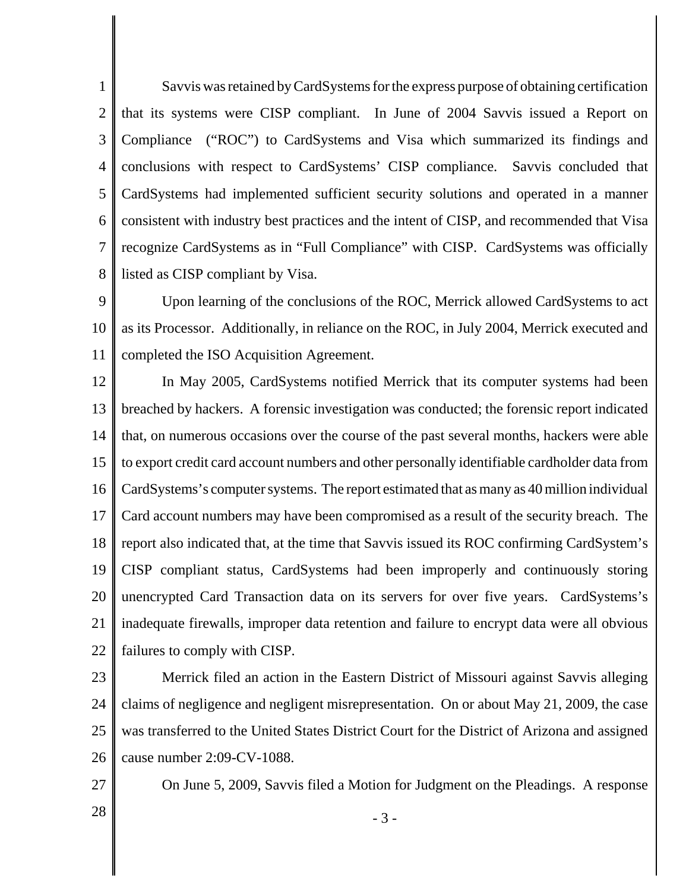1 2 3 4 5 6 7 8 Savvis was retained by CardSystems for the express purpose of obtaining certification that its systems were CISP compliant. In June of 2004 Savvis issued a Report on Compliance ("ROC") to CardSystems and Visa which summarized its findings and conclusions with respect to CardSystems' CISP compliance. Savvis concluded that CardSystems had implemented sufficient security solutions and operated in a manner consistent with industry best practices and the intent of CISP, and recommended that Visa recognize CardSystems as in "Full Compliance" with CISP. CardSystems was officially listed as CISP compliant by Visa.

9 10 11 Upon learning of the conclusions of the ROC, Merrick allowed CardSystems to act as its Processor. Additionally, in reliance on the ROC, in July 2004, Merrick executed and completed the ISO Acquisition Agreement.

12 13 14 15 16 17 18 19 20 21 22 In May 2005, CardSystems notified Merrick that its computer systems had been breached by hackers. A forensic investigation was conducted; the forensic report indicated that, on numerous occasions over the course of the past several months, hackers were able to export credit card account numbers and other personally identifiable cardholder data from CardSystems's computer systems. The report estimated that as many as 40 million individual Card account numbers may have been compromised as a result of the security breach. The report also indicated that, at the time that Savvis issued its ROC confirming CardSystem's CISP compliant status, CardSystems had been improperly and continuously storing unencrypted Card Transaction data on its servers for over five years. CardSystems's inadequate firewalls, improper data retention and failure to encrypt data were all obvious failures to comply with CISP.

23

24 25 26 Merrick filed an action in the Eastern District of Missouri against Savvis alleging claims of negligence and negligent misrepresentation. On or about May 21, 2009, the case was transferred to the United States District Court for the District of Arizona and assigned cause number 2:09-CV-1088.

27

On June 5, 2009, Savvis filed a Motion for Judgment on the Pleadings. A response

 $28 \t - 3 -$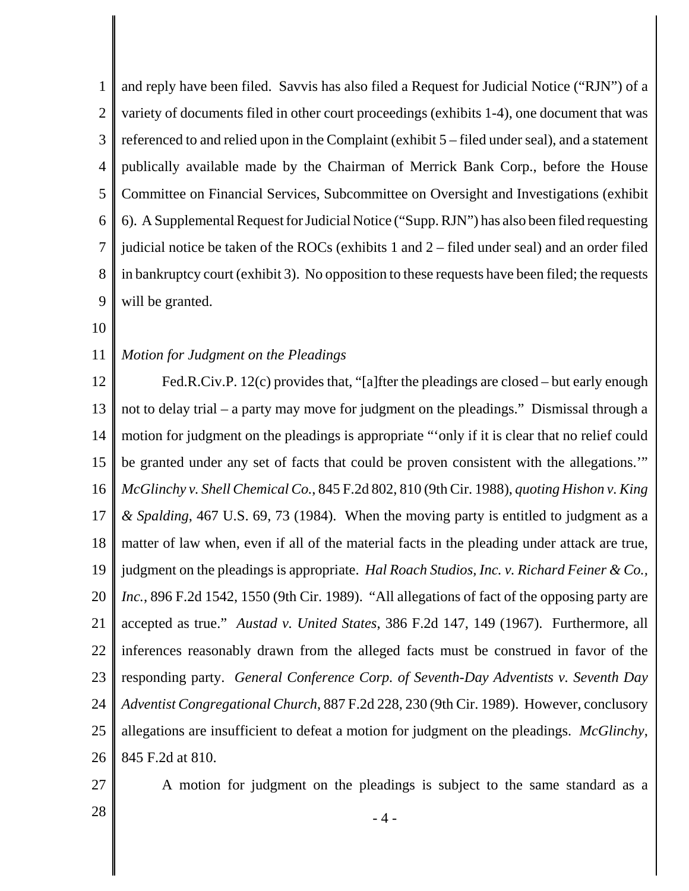1 2 3 4 5 6 7 8 9 and reply have been filed. Savvis has also filed a Request for Judicial Notice ("RJN") of a variety of documents filed in other court proceedings (exhibits 1-4), one document that was referenced to and relied upon in the Complaint (exhibit 5 – filed under seal), and a statement publically available made by the Chairman of Merrick Bank Corp., before the House Committee on Financial Services, Subcommittee on Oversight and Investigations (exhibit 6). A Supplemental Request for Judicial Notice ("Supp. RJN") has also been filed requesting judicial notice be taken of the ROCs (exhibits 1 and 2 – filed under seal) and an order filed in bankruptcy court (exhibit 3). No opposition to these requests have been filed; the requests will be granted.

10

## 11 *Motion for Judgment on the Pleadings*

12 13 14 15 16 17 18 19 20 21 22 23 24 25 26 Fed.R.Civ.P. 12(c) provides that, "[a]fter the pleadings are closed – but early enough not to delay trial – a party may move for judgment on the pleadings." Dismissal through a motion for judgment on the pleadings is appropriate "'only if it is clear that no relief could be granted under any set of facts that could be proven consistent with the allegations." *McGlinchy v. Shell Chemical Co.*, 845 F.2d 802, 810 (9th Cir. 1988), *quoting Hishon v. King & Spalding*, 467 U.S. 69, 73 (1984). When the moving party is entitled to judgment as a matter of law when, even if all of the material facts in the pleading under attack are true, judgment on the pleadings is appropriate. *Hal Roach Studios, Inc. v. Richard Feiner & Co., Inc.*, 896 F.2d 1542, 1550 (9th Cir. 1989). "All allegations of fact of the opposing party are accepted as true." *Austad v. United States*, 386 F.2d 147, 149 (1967). Furthermore, all inferences reasonably drawn from the alleged facts must be construed in favor of the responding party. *General Conference Corp. of Seventh-Day Adventists v. Seventh Day Adventist Congregational Church*, 887 F.2d 228, 230 (9th Cir. 1989). However, conclusory allegations are insufficient to defeat a motion for judgment on the pleadings. *McGlinchy*, 845 F.2d at 810.

27

A motion for judgment on the pleadings is subject to the same standard as a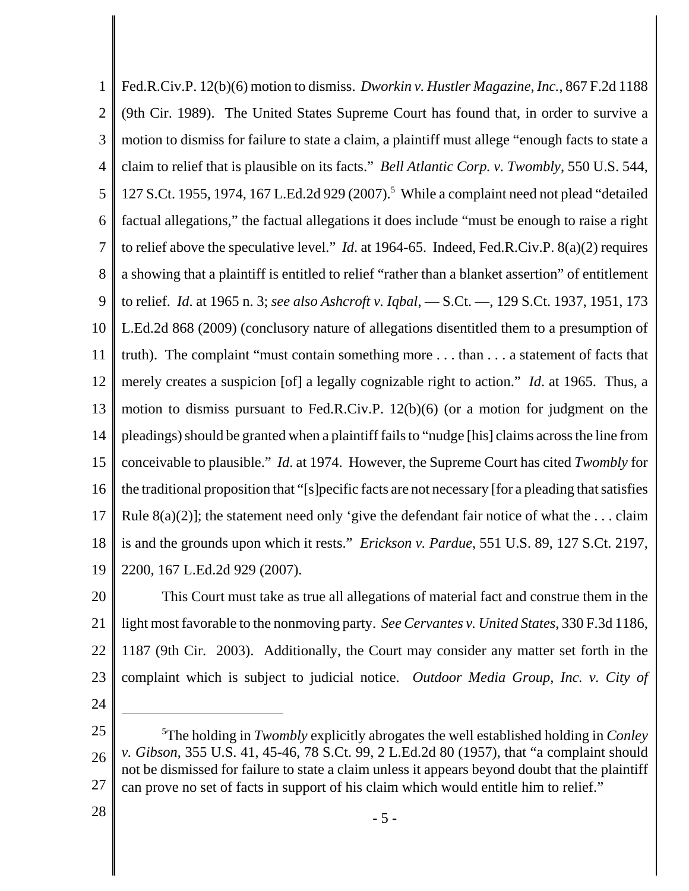1 2 3 4 5 6 7 8 9 10 11 12 13 14 15 16 17 18 19 Fed.R.Civ.P. 12(b)(6) motion to dismiss. *Dworkin v. Hustler Magazine, Inc.*, 867 F.2d 1188 (9th Cir. 1989). The United States Supreme Court has found that, in order to survive a motion to dismiss for failure to state a claim, a plaintiff must allege "enough facts to state a claim to relief that is plausible on its facts." *Bell Atlantic Corp. v. Twombly*, 550 U.S. 544, 127 S.Ct. 1955, 1974, 167 L.Ed.2d 929 (2007).<sup>5</sup> While a complaint need not plead "detailed factual allegations," the factual allegations it does include "must be enough to raise a right to relief above the speculative level." *Id*. at 1964-65. Indeed, Fed.R.Civ.P. 8(a)(2) requires a showing that a plaintiff is entitled to relief "rather than a blanket assertion" of entitlement to relief. *Id*. at 1965 n. 3; *see also Ashcroft v. Iqbal*, — S.Ct. —, 129 S.Ct. 1937, 1951, 173 L.Ed.2d 868 (2009) (conclusory nature of allegations disentitled them to a presumption of truth). The complaint "must contain something more . . . than . . . a statement of facts that merely creates a suspicion [of] a legally cognizable right to action." *Id*. at 1965. Thus, a motion to dismiss pursuant to Fed.R.Civ.P. 12(b)(6) (or a motion for judgment on the pleadings) should be granted when a plaintiff fails to "nudge [his] claims across the line from conceivable to plausible." *Id*. at 1974. However, the Supreme Court has cited *Twombly* for the traditional proposition that "[s]pecific facts are not necessary [for a pleading that satisfies Rule  $8(a)(2)$ ]; the statement need only 'give the defendant fair notice of what the ... claim is and the grounds upon which it rests." *Erickson v. Pardue*, 551 U.S. 89, 127 S.Ct. 2197, 2200, 167 L.Ed.2d 929 (2007).

20 21 22 23 This Court must take as true all allegations of material fact and construe them in the light most favorable to the nonmoving party. *See Cervantes v. United States*, 330 F.3d 1186, 1187 (9th Cir. 2003). Additionally, the Court may consider any matter set forth in the complaint which is subject to judicial notice. *Outdoor Media Group, Inc. v. City of*

24

28

<sup>25</sup> 26 27 5 The holding in *Twombly* explicitly abrogates the well established holding in *Conley v. Gibson*, 355 U.S. 41, 45-46, 78 S.Ct. 99, 2 L.Ed.2d 80 (1957), that "a complaint should not be dismissed for failure to state a claim unless it appears beyond doubt that the plaintiff can prove no set of facts in support of his claim which would entitle him to relief."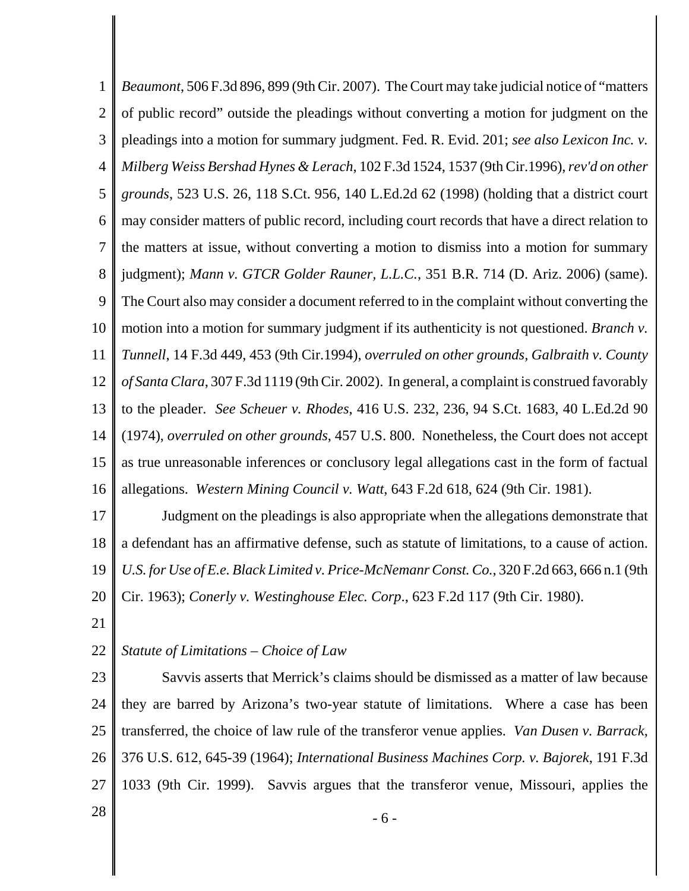1 2 3 4 5 6 7 8 9 10 11 12 13 14 15 16 *Beaumont*, 506 F.3d 896, 899 (9th Cir. 2007). The Court may take judicial notice of "matters of public record" outside the pleadings without converting a motion for judgment on the pleadings into a motion for summary judgment. Fed. R. Evid. 201; *see also Lexicon Inc. v. Milberg Weiss Bershad Hynes & Lerach*, 102 F.3d 1524, 1537 (9th Cir.1996), *rev'd on other grounds*, 523 U.S. 26, 118 S.Ct. 956, 140 L.Ed.2d 62 (1998) (holding that a district court may consider matters of public record, including court records that have a direct relation to the matters at issue, without converting a motion to dismiss into a motion for summary judgment); *Mann v. GTCR Golder Rauner, L.L.C.*, 351 B.R. 714 (D. Ariz. 2006) (same). The Court also may consider a document referred to in the complaint without converting the motion into a motion for summary judgment if its authenticity is not questioned. *Branch v. Tunnell*, 14 F.3d 449, 453 (9th Cir.1994), *overruled on other grounds, Galbraith v. County of Santa Clara*, 307 F.3d 1119 (9th Cir. 2002). In general, a complaint is construed favorably to the pleader. *See Scheuer v. Rhodes*, 416 U.S. 232, 236, 94 S.Ct. 1683, 40 L.Ed.2d 90 (1974), *overruled on other grounds*, 457 U.S. 800. Nonetheless, the Court does not accept as true unreasonable inferences or conclusory legal allegations cast in the form of factual allegations. *Western Mining Council v. Watt*, 643 F.2d 618, 624 (9th Cir. 1981).

17 18 19 20 Judgment on the pleadings is also appropriate when the allegations demonstrate that a defendant has an affirmative defense, such as statute of limitations, to a cause of action. *U.S. for Use of E.e. Black Limited v. Price-McNemanr Const. Co.*, 320 F.2d 663, 666 n.1 (9th Cir. 1963); *Conerly v. Westinghouse Elec. Corp*., 623 F.2d 117 (9th Cir. 1980).

21

## 22 *Statute of Limitations – Choice of Law*

23 24 25 26 27 Savvis asserts that Merrick's claims should be dismissed as a matter of law because they are barred by Arizona's two-year statute of limitations. Where a case has been transferred, the choice of law rule of the transferor venue applies. *Van Dusen v. Barrack*, 376 U.S. 612, 645-39 (1964); *International Business Machines Corp. v. Bajorek*, 191 F.3d 1033 (9th Cir. 1999). Savvis argues that the transferor venue, Missouri, applies the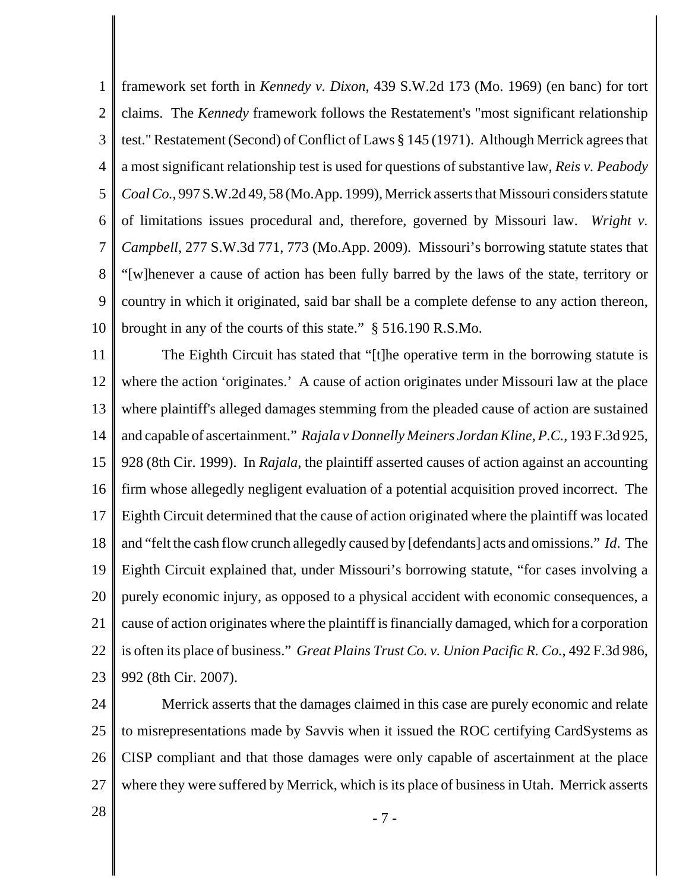1 2 3 4 5 6 7 8 9 10 framework set forth in *Kennedy v. Dixon*, 439 S.W.2d 173 (Mo. 1969) (en banc) for tort claims. The *Kennedy* framework follows the Restatement's "most significant relationship test." Restatement (Second) of Conflict of Laws § 145 (1971). Although Merrick agrees that a most significant relationship test is used for questions of substantive law, *Reis v. Peabody Coal Co.*, 997 S.W.2d 49, 58 (Mo.App. 1999), Merrick asserts that Missouri considers statute of limitations issues procedural and, therefore, governed by Missouri law. *Wright v. Campbell*, 277 S.W.3d 771, 773 (Mo.App. 2009). Missouri's borrowing statute states that "[w]henever a cause of action has been fully barred by the laws of the state, territory or country in which it originated, said bar shall be a complete defense to any action thereon, brought in any of the courts of this state." § 516.190 R.S.Mo.

11 12 13 14 15 16 17 18 19 20 21 22 23 The Eighth Circuit has stated that "[t]he operative term in the borrowing statute is where the action 'originates.' A cause of action originates under Missouri law at the place where plaintiff's alleged damages stemming from the pleaded cause of action are sustained and capable of ascertainment." *Rajala v Donnelly Meiners Jordan Kline, P.C.*, 193 F.3d 925, 928 (8th Cir. 1999). In *Rajala*, the plaintiff asserted causes of action against an accounting firm whose allegedly negligent evaluation of a potential acquisition proved incorrect. The Eighth Circuit determined that the cause of action originated where the plaintiff was located and "felt the cash flow crunch allegedly caused by [defendants] acts and omissions." *Id*. The Eighth Circuit explained that, under Missouri's borrowing statute, "for cases involving a purely economic injury, as opposed to a physical accident with economic consequences, a cause of action originates where the plaintiff is financially damaged, which for a corporation is often its place of business." *Great Plains Trust Co. v. Union Pacific R. Co.*, 492 F.3d 986, 992 (8th Cir. 2007).

24 25 26 27 Merrick asserts that the damages claimed in this case are purely economic and relate to misrepresentations made by Savvis when it issued the ROC certifying CardSystems as CISP compliant and that those damages were only capable of ascertainment at the place where they were suffered by Merrick, which is its place of business in Utah. Merrick asserts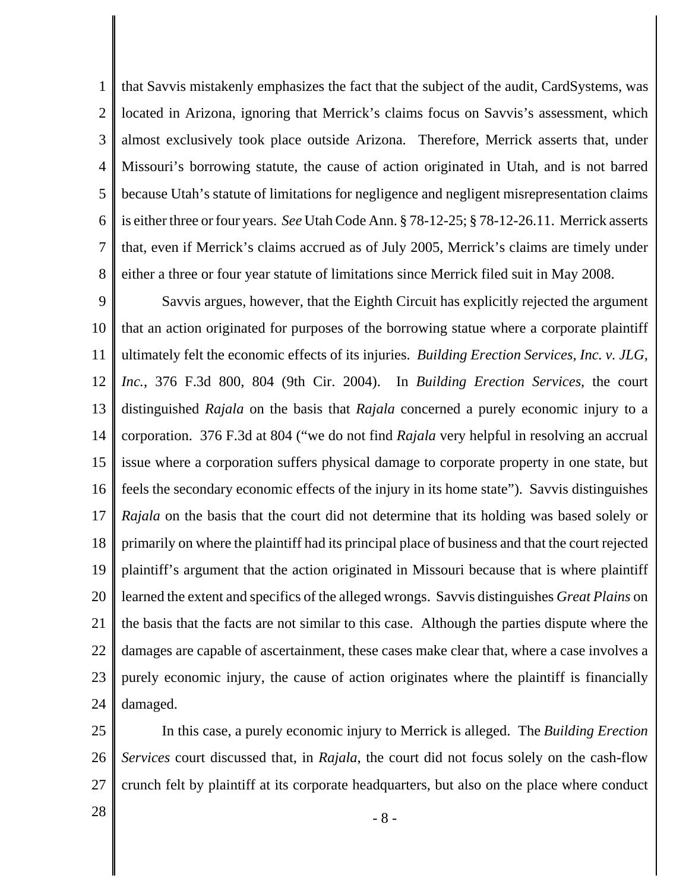1 2 3 4 5 6 7 8 that Savvis mistakenly emphasizes the fact that the subject of the audit, CardSystems, was located in Arizona, ignoring that Merrick's claims focus on Savvis's assessment, which almost exclusively took place outside Arizona. Therefore, Merrick asserts that, under Missouri's borrowing statute, the cause of action originated in Utah, and is not barred because Utah's statute of limitations for negligence and negligent misrepresentation claims is either three or four years. *See* Utah Code Ann. § 78-12-25; § 78-12-26.11. Merrick asserts that, even if Merrick's claims accrued as of July 2005, Merrick's claims are timely under either a three or four year statute of limitations since Merrick filed suit in May 2008.

9 10 11 12 13 14 15 16 17 18 19 20 21 22 23 24 Savvis argues, however, that the Eighth Circuit has explicitly rejected the argument that an action originated for purposes of the borrowing statue where a corporate plaintiff ultimately felt the economic effects of its injuries. *Building Erection Services, Inc. v. JLG, Inc.*, 376 F.3d 800, 804 (9th Cir. 2004). In *Building Erection Services*, the court distinguished *Rajala* on the basis that *Rajala* concerned a purely economic injury to a corporation. 376 F.3d at 804 ("we do not find *Rajala* very helpful in resolving an accrual issue where a corporation suffers physical damage to corporate property in one state, but feels the secondary economic effects of the injury in its home state"). Savvis distinguishes *Rajala* on the basis that the court did not determine that its holding was based solely or primarily on where the plaintiff had its principal place of business and that the court rejected plaintiff's argument that the action originated in Missouri because that is where plaintiff learned the extent and specifics of the alleged wrongs. Savvis distinguishes *Great Plains* on the basis that the facts are not similar to this case. Although the parties dispute where the damages are capable of ascertainment, these cases make clear that, where a case involves a purely economic injury, the cause of action originates where the plaintiff is financially damaged.

25 26 27 In this case, a purely economic injury to Merrick is alleged. The *Building Erection Services* court discussed that, in *Rajala*, the court did not focus solely on the cash-flow crunch felt by plaintiff at its corporate headquarters, but also on the place where conduct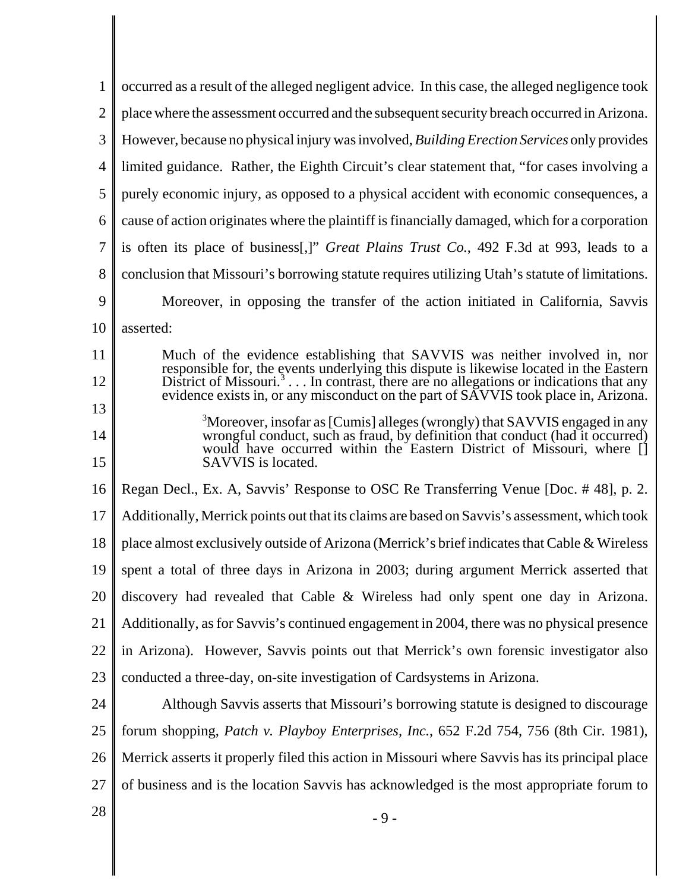| 1              | occurred as a result of the alleged negligent advice. In this case, the alleged negligence took                                                                                                                                                  |
|----------------|--------------------------------------------------------------------------------------------------------------------------------------------------------------------------------------------------------------------------------------------------|
| $\overline{2}$ | place where the assessment occurred and the subsequent security breach occurred in Arizona.                                                                                                                                                      |
| 3              | However, because no physical injury was involved, Building Erection Services only provides                                                                                                                                                       |
| 4              | limited guidance. Rather, the Eighth Circuit's clear statement that, "for cases involving a                                                                                                                                                      |
| 5              | purely economic injury, as opposed to a physical accident with economic consequences, a                                                                                                                                                          |
| 6              | cause of action originates where the plaintiff is financially damaged, which for a corporation                                                                                                                                                   |
| 7              | is often its place of business[,]" Great Plains Trust Co., 492 F.3d at 993, leads to a                                                                                                                                                           |
| 8              | conclusion that Missouri's borrowing statute requires utilizing Utah's statute of limitations.                                                                                                                                                   |
| 9              | Moreover, in opposing the transfer of the action initiated in California, Savvis                                                                                                                                                                 |
| 10             | asserted:                                                                                                                                                                                                                                        |
| 11             | Much of the evidence establishing that SAVVIS was neither involved in, nor                                                                                                                                                                       |
| 12             | responsible for, the events underlying this dispute is likewise located in the Eastern<br>District of Missouri. <sup>3</sup> In contrast, there are no allegations or indications that any                                                       |
| 13             | evidence exists in, or any misconduct on the part of SAVVIS took place in, Arizona.                                                                                                                                                              |
| 14             | <sup>3</sup> Moreover, insofar as [Cumis] alleges (wrongly) that SAVVIS engaged in any<br>wrongful conduct, such as fraud, by definition that conduct (had it occurred)<br>would have occurred within the Eastern District of Missouri, where [] |
| 15             | SAVVIS is located.                                                                                                                                                                                                                               |
| 16             | Regan Decl., Ex. A, Savvis' Response to OSC Re Transferring Venue [Doc. #48], p. 2.                                                                                                                                                              |
| 17             | Additionally, Merrick points out that its claims are based on Savvis's assessment, which took                                                                                                                                                    |
| 18             | place almost exclusively outside of Arizona (Merrick's brief indicates that Cable & Wireless                                                                                                                                                     |
| 19             | spent a total of three days in Arizona in 2003; during argument Merrick asserted that                                                                                                                                                            |
| 20             | discovery had revealed that Cable & Wireless had only spent one day in Arizona.                                                                                                                                                                  |
| 21             | Additionally, as for Savvis's continued engagement in 2004, there was no physical presence                                                                                                                                                       |
| 22             | in Arizona). However, Savvis points out that Merrick's own forensic investigator also                                                                                                                                                            |
| 23             | conducted a three-day, on-site investigation of Cardsystems in Arizona.                                                                                                                                                                          |
| 24             | Although Savvis asserts that Missouri's borrowing statute is designed to discourage                                                                                                                                                              |
| 25             | forum shopping, Patch v. Playboy Enterprises, Inc., 652 F.2d 754, 756 (8th Cir. 1981),                                                                                                                                                           |
| 26             | Merrick asserts it properly filed this action in Missouri where Savvis has its principal place                                                                                                                                                   |
| 27             | of business and is the location Savvis has acknowledged is the most appropriate forum to                                                                                                                                                         |
| 28             | $-9-$                                                                                                                                                                                                                                            |
|                |                                                                                                                                                                                                                                                  |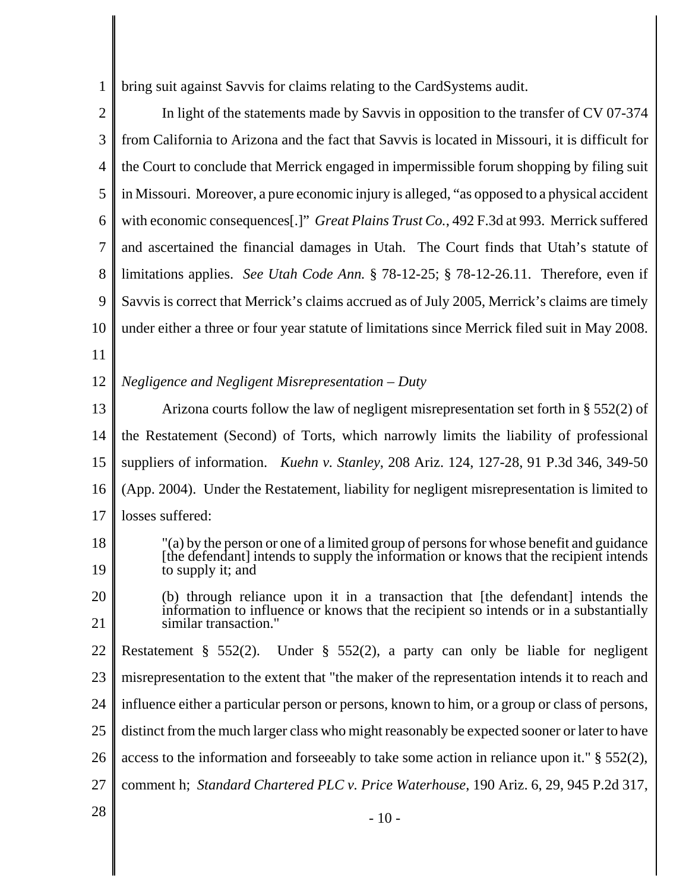1 bring suit against Savvis for claims relating to the CardSystems audit.

| 2              | In light of the statements made by Savvis in opposition to the transfer of CV 07-374                                                                                                                 |
|----------------|------------------------------------------------------------------------------------------------------------------------------------------------------------------------------------------------------|
| 3              | from California to Arizona and the fact that Savvis is located in Missouri, it is difficult for                                                                                                      |
| $\overline{4}$ | the Court to conclude that Merrick engaged in impermissible forum shopping by filing suit                                                                                                            |
| 5              | in Missouri. Moreover, a pure economic injury is alleged, "as opposed to a physical accident                                                                                                         |
| 6              | with economic consequences[.]" Great Plains Trust Co., 492 F.3d at 993. Merrick suffered                                                                                                             |
| 7              | and ascertained the financial damages in Utah. The Court finds that Utah's statute of                                                                                                                |
| 8              | limitations applies. See Utah Code Ann. § 78-12-25; § 78-12-26.11. Therefore, even if                                                                                                                |
| 9              | Savvis is correct that Merrick's claims accrued as of July 2005, Merrick's claims are timely                                                                                                         |
| 10             | under either a three or four year statute of limitations since Merrick filed suit in May 2008.                                                                                                       |
| 11             |                                                                                                                                                                                                      |
| 12             | Negligence and Negligent Misrepresentation – Duty                                                                                                                                                    |
| 13             | Arizona courts follow the law of negligent misrepresentation set forth in $\S 552(2)$ of                                                                                                             |
| 14             | the Restatement (Second) of Torts, which narrowly limits the liability of professional                                                                                                               |
| 15             | suppliers of information. <i>Kuehn v. Stanley</i> , 208 Ariz. 124, 127-28, 91 P.3d 346, 349-50                                                                                                       |
| 16             | (App. 2004). Under the Restatement, liability for negligent misrepresentation is limited to                                                                                                          |
| 17             | losses suffered:                                                                                                                                                                                     |
| 18<br>19       | "(a) by the person or one of a limited group of persons for whose benefit and guidance<br>[the defendant] intends to supply the information or knows that the recipient intends<br>to supply it; and |
| 20             | (b) through reliance upon it in a transaction that [the defendant] intends the                                                                                                                       |
| 21             | information to influence or knows that the recipient so intends or in a substantially<br>similar transaction."                                                                                       |
| 22             | Restatement § 552(2). Under § 552(2), a party can only be liable for negligent                                                                                                                       |
| 23             | misrepresentation to the extent that "the maker of the representation intends it to reach and                                                                                                        |
| 24             | influence either a particular person or persons, known to him, or a group or class of persons,                                                                                                       |
| 25             | distinct from the much larger class who might reasonably be expected sooner or later to have                                                                                                         |
| 26             | access to the information and forseeably to take some action in reliance upon it." $\S$ 552(2),                                                                                                      |
| 27             | comment h; Standard Chartered PLC v. Price Waterhouse, 190 Ariz. 6, 29, 945 P.2d 317,                                                                                                                |
| 28             | $-10-$                                                                                                                                                                                               |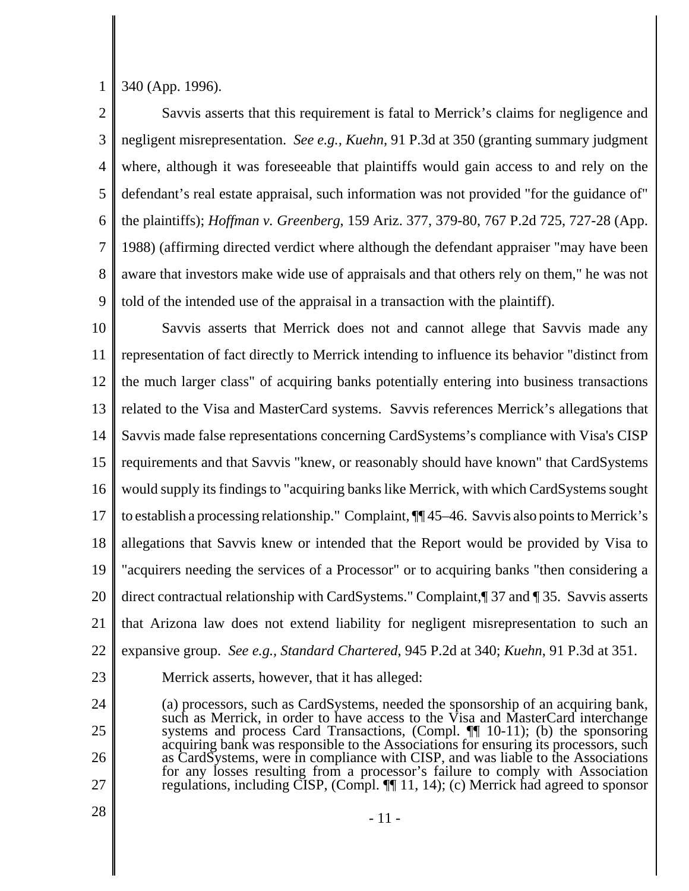1 340 (App. 1996).

2 3 4 5 6 7 8 9 Savvis asserts that this requirement is fatal to Merrick's claims for negligence and negligent misrepresentation. *See e.g., Kuehn*, 91 P.3d at 350 (granting summary judgment where, although it was foreseeable that plaintiffs would gain access to and rely on the defendant's real estate appraisal, such information was not provided "for the guidance of" the plaintiffs); *Hoffman v. Greenberg*, 159 Ariz. 377, 379-80, 767 P.2d 725, 727-28 (App. 1988) (affirming directed verdict where although the defendant appraiser "may have been aware that investors make wide use of appraisals and that others rely on them," he was not told of the intended use of the appraisal in a transaction with the plaintiff).

10 11 12 13 14 15 16 17 18 19 20 21 22 Savvis asserts that Merrick does not and cannot allege that Savvis made any representation of fact directly to Merrick intending to influence its behavior "distinct from the much larger class" of acquiring banks potentially entering into business transactions related to the Visa and MasterCard systems. Savvis references Merrick's allegations that Savvis made false representations concerning CardSystems's compliance with Visa's CISP requirements and that Savvis "knew, or reasonably should have known" that CardSystems would supply its findings to "acquiring banks like Merrick, with which CardSystems sought to establish a processing relationship." Complaint, ¶¶ 45–46. Savvis also points to Merrick's allegations that Savvis knew or intended that the Report would be provided by Visa to "acquirers needing the services of a Processor" or to acquiring banks "then considering a direct contractual relationship with CardSystems." Complaint,¶ 37 and ¶ 35. Savvis asserts that Arizona law does not extend liability for negligent misrepresentation to such an expansive group. *See e.g., Standard Chartered*, 945 P.2d at 340; *Kuehn*, 91 P.3d at 351.

23

24

25

26

27

Merrick asserts, however, that it has alleged:

(a) processors, such as CardSystems, needed the sponsorship of an acquiring bank, such as Merrick, in order to have access to the Visa and MasterCard interchange systems and process Card Transactions, (Compl. ¶¶ 10-11); (b) the sponsoring acquiring bank was responsible to the Associations for ensuring its processors, such as CardSystems, were in compliance with CISP, and was liable to the Associations for any losses resulting from a processor's failure to comply with Association regulations, including CISP, (Compl. ¶¶ 11, 14); (c) Merrick had agreed to sponsor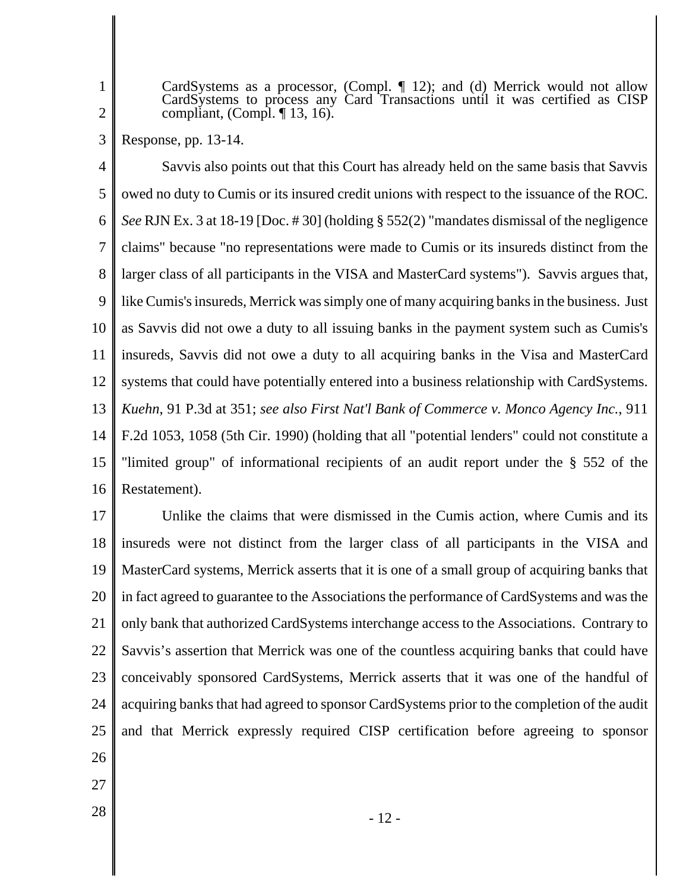1 2

CardSystems as a processor, (Compl. ¶ 12); and (d) Merrick would not allow CardSystems to process any Card Transactions until it was certified as CISP compliant,  $(Compl. \P 13, 16)$ .

3 Response, pp. 13-14.

4 5 6 7 8 9 10 11 12 13 14 15 16 Savvis also points out that this Court has already held on the same basis that Savvis owed no duty to Cumis or its insured credit unions with respect to the issuance of the ROC. *See* RJN Ex. 3 at 18-19 [Doc. # 30] (holding § 552(2) "mandates dismissal of the negligence claims" because "no representations were made to Cumis or its insureds distinct from the larger class of all participants in the VISA and MasterCard systems"). Savvis argues that, like Cumis's insureds, Merrick was simply one of many acquiring banks in the business. Just as Savvis did not owe a duty to all issuing banks in the payment system such as Cumis's insureds, Savvis did not owe a duty to all acquiring banks in the Visa and MasterCard systems that could have potentially entered into a business relationship with CardSystems. *Kuehn*, 91 P.3d at 351; *see also First Nat'l Bank of Commerce v. Monco Agency Inc.*, 911 F.2d 1053, 1058 (5th Cir. 1990) (holding that all "potential lenders" could not constitute a "limited group" of informational recipients of an audit report under the § 552 of the Restatement).

17 18 19 20 21 22 23 24 25 26 Unlike the claims that were dismissed in the Cumis action, where Cumis and its insureds were not distinct from the larger class of all participants in the VISA and MasterCard systems, Merrick asserts that it is one of a small group of acquiring banks that in fact agreed to guarantee to the Associations the performance of CardSystems and was the only bank that authorized CardSystems interchange access to the Associations. Contrary to Savvis's assertion that Merrick was one of the countless acquiring banks that could have conceivably sponsored CardSystems, Merrick asserts that it was one of the handful of acquiring banks that had agreed to sponsor CardSystems prior to the completion of the audit and that Merrick expressly required CISP certification before agreeing to sponsor

- 
- 27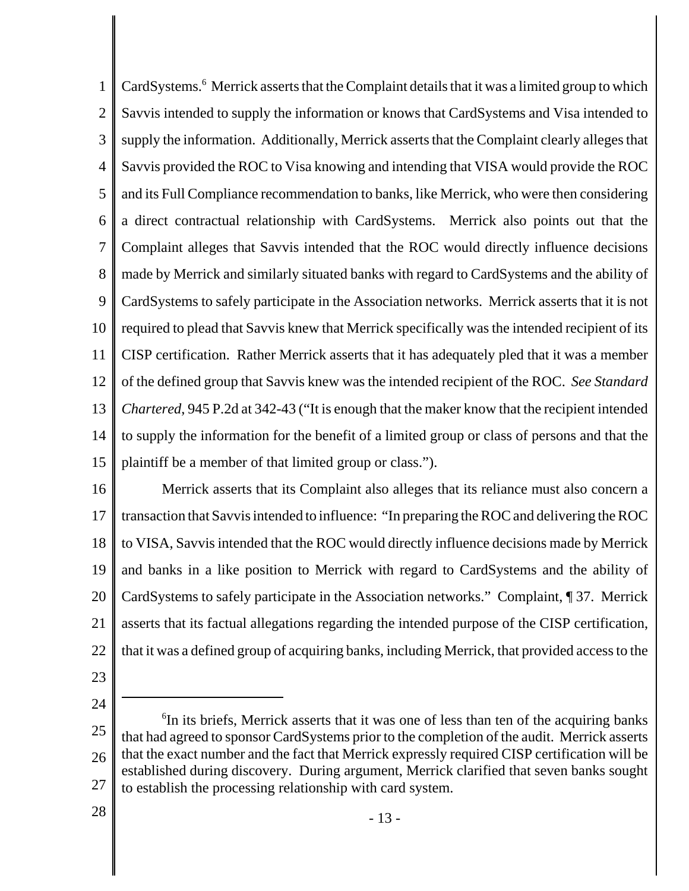1 2 3 4 5 6 7 8 9 10 11 12 13 14 15 CardSystems.<sup>6</sup> Merrick asserts that the Complaint details that it was a limited group to which Savvis intended to supply the information or knows that CardSystems and Visa intended to supply the information. Additionally, Merrick asserts that the Complaint clearly alleges that Savvis provided the ROC to Visa knowing and intending that VISA would provide the ROC and its Full Compliance recommendation to banks, like Merrick, who were then considering a direct contractual relationship with CardSystems. Merrick also points out that the Complaint alleges that Savvis intended that the ROC would directly influence decisions made by Merrick and similarly situated banks with regard to CardSystems and the ability of CardSystems to safely participate in the Association networks. Merrick asserts that it is not required to plead that Savvis knew that Merrick specifically was the intended recipient of its CISP certification. Rather Merrick asserts that it has adequately pled that it was a member of the defined group that Savvis knew was the intended recipient of the ROC. *See Standard Chartered*, 945 P.2d at 342-43 ("It is enough that the maker know that the recipient intended to supply the information for the benefit of a limited group or class of persons and that the plaintiff be a member of that limited group or class.").

16 17 18 19 20 21 22 Merrick asserts that its Complaint also alleges that its reliance must also concern a transaction that Savvis intended to influence: "In preparing the ROC and delivering the ROC to VISA, Savvis intended that the ROC would directly influence decisions made by Merrick and banks in a like position to Merrick with regard to CardSystems and the ability of CardSystems to safely participate in the Association networks." Complaint, ¶ 37. Merrick asserts that its factual allegations regarding the intended purpose of the CISP certification, that it was a defined group of acquiring banks, including Merrick, that provided access to the

- 23
- 24

28

<sup>25</sup> 26 27 <sup>6</sup>In its briefs, Merrick asserts that it was one of less than ten of the acquiring banks that had agreed to sponsor CardSystems prior to the completion of the audit. Merrick asserts that the exact number and the fact that Merrick expressly required CISP certification will be established during discovery. During argument, Merrick clarified that seven banks sought to establish the processing relationship with card system.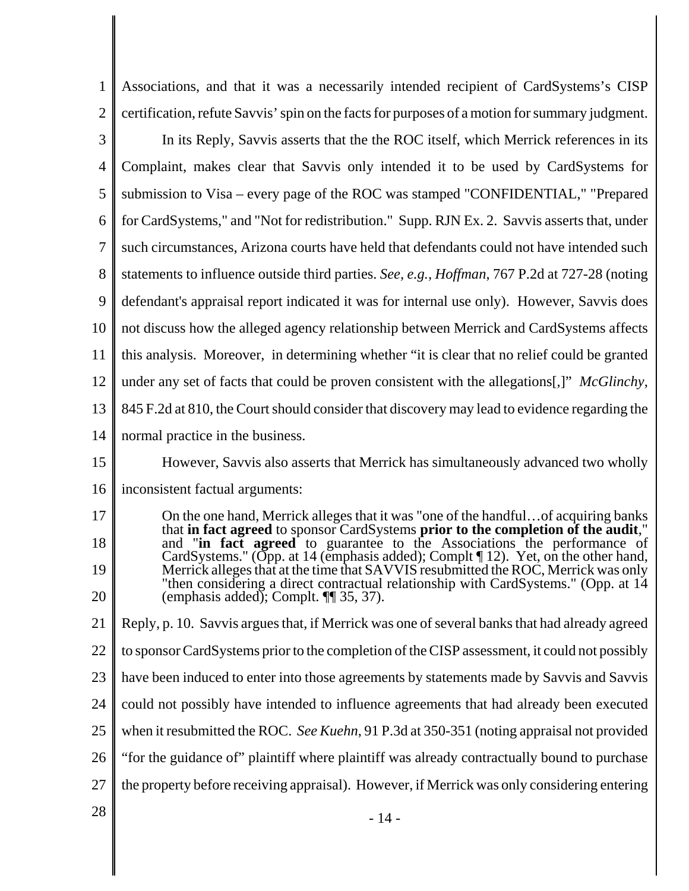1 2 Associations, and that it was a necessarily intended recipient of CardSystems's CISP certification, refute Savvis' spin on the facts for purposes of a motion for summary judgment.

3 4 5 6 7 8 9 10 11 12 13 14 In its Reply, Savvis asserts that the the ROC itself, which Merrick references in its Complaint, makes clear that Savvis only intended it to be used by CardSystems for submission to Visa – every page of the ROC was stamped "CONFIDENTIAL," "Prepared for CardSystems," and "Not for redistribution." Supp. RJN Ex. 2. Savvis asserts that, under such circumstances, Arizona courts have held that defendants could not have intended such statements to influence outside third parties. *See, e.g., Hoffman*, 767 P.2d at 727-28 (noting defendant's appraisal report indicated it was for internal use only). However, Savvis does not discuss how the alleged agency relationship between Merrick and CardSystems affects this analysis. Moreover, in determining whether "it is clear that no relief could be granted under any set of facts that could be proven consistent with the allegations[,]" *McGlinchy*, 845 F.2d at 810, the Court should consider that discovery may lead to evidence regarding the normal practice in the business.

15 However, Savvis also asserts that Merrick has simultaneously advanced two wholly

16 inconsistent factual arguments:

17 18 19 20 On the one hand, Merrick alleges that it was "one of the handful…of acquiring banks that **in fact agreed** to sponsor CardSystems **prior to the completion of the audit**," and "in fact agreed to guarantee to the Associations the performance of CardSystems." (Opp. at 14 (emphasis added); Complt [12). Yet, on the other hand, Merrick alleges that at the time that SAVVIS resubmitted the ROC, Merrick was only "then considering a direct contractual relationship with CardSystems." (Opp. at 14 (emphasis added); Complt. ¶¶ 35, 37).

21 22 23 24 25 26 27 Reply, p. 10. Savvis argues that, if Merrick was one of several banks that had already agreed to sponsor CardSystems prior to the completion of the CISP assessment, it could not possibly have been induced to enter into those agreements by statements made by Savvis and Savvis could not possibly have intended to influence agreements that had already been executed when it resubmitted the ROC. *See Kuehn*, 91 P.3d at 350-351 (noting appraisal not provided "for the guidance of" plaintiff where plaintiff was already contractually bound to purchase the property before receiving appraisal). However, if Merrick was only considering entering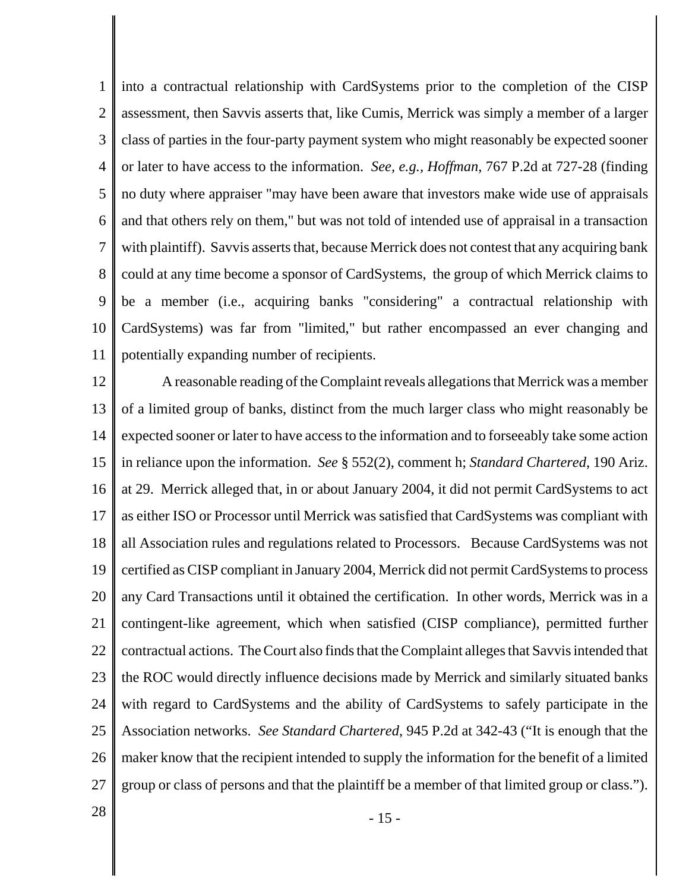1 2 3 4 5 6 7 8 9 10 11 into a contractual relationship with CardSystems prior to the completion of the CISP assessment, then Savvis asserts that, like Cumis, Merrick was simply a member of a larger class of parties in the four-party payment system who might reasonably be expected sooner or later to have access to the information. *See, e.g., Hoffman*, 767 P.2d at 727-28 (finding no duty where appraiser "may have been aware that investors make wide use of appraisals and that others rely on them," but was not told of intended use of appraisal in a transaction with plaintiff). Savvis asserts that, because Merrick does not contest that any acquiring bank could at any time become a sponsor of CardSystems, the group of which Merrick claims to be a member (i.e., acquiring banks "considering" a contractual relationship with CardSystems) was far from "limited," but rather encompassed an ever changing and potentially expanding number of recipients.

12 13 14 15 16 17 18 19 20 21 22 23 24 25 26 27 A reasonable reading of the Complaint reveals allegations that Merrick was a member of a limited group of banks, distinct from the much larger class who might reasonably be expected sooner or later to have access to the information and to forseeably take some action in reliance upon the information. *See* § 552(2), comment h; *Standard Chartered*, 190 Ariz. at 29. Merrick alleged that, in or about January 2004, it did not permit CardSystems to act as either ISO or Processor until Merrick was satisfied that CardSystems was compliant with all Association rules and regulations related to Processors. Because CardSystems was not certified as CISP compliant in January 2004, Merrick did not permit CardSystems to process any Card Transactions until it obtained the certification. In other words, Merrick was in a contingent-like agreement, which when satisfied (CISP compliance), permitted further contractual actions. The Court also finds that the Complaint alleges that Savvis intended that the ROC would directly influence decisions made by Merrick and similarly situated banks with regard to CardSystems and the ability of CardSystems to safely participate in the Association networks. *See Standard Chartered*, 945 P.2d at 342-43 ("It is enough that the maker know that the recipient intended to supply the information for the benefit of a limited group or class of persons and that the plaintiff be a member of that limited group or class.").